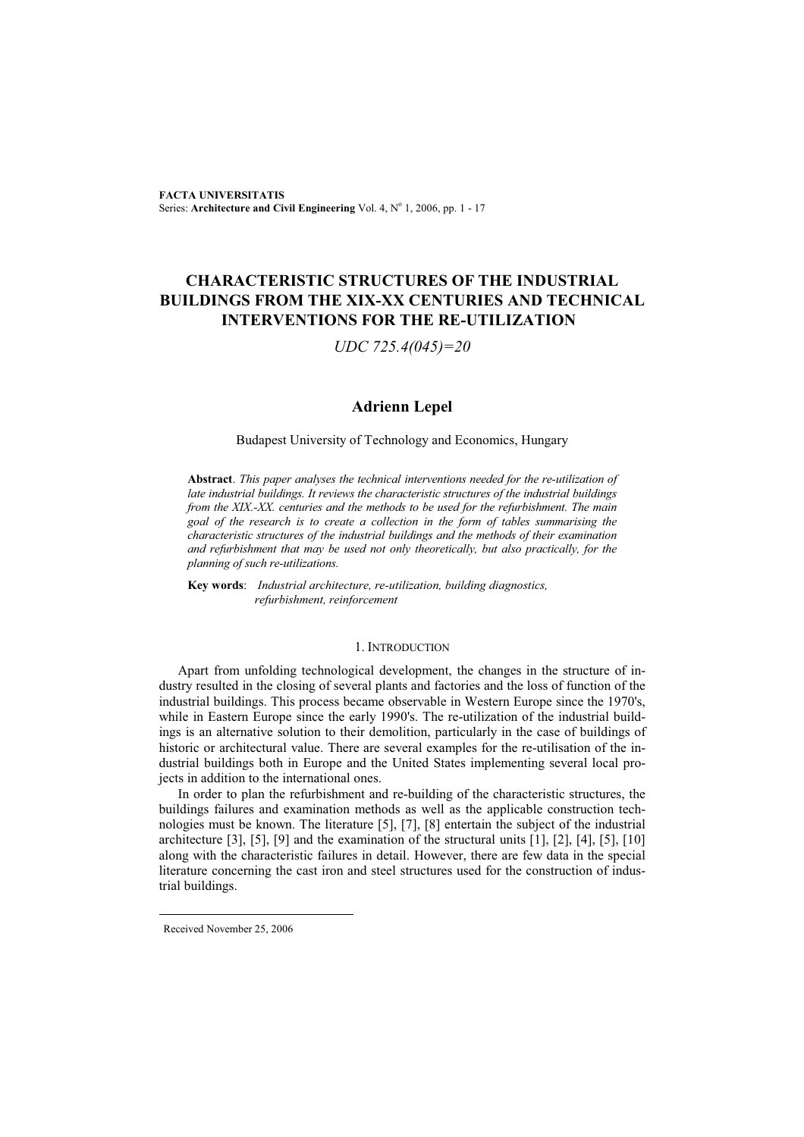**FACTA UNIVERSITATIS** Series: Architecture and Civil Engineering Vol. 4, Nº 1, 2006, pp. 1 - 17

## **CHARACTERISTIC STRUCTURES OF THE INDUSTRIAL BUILDINGS FROM THE XIX-XX CENTURIES AND TECHNICAL INTERVENTIONS FOR THE RE-UTILIZATION**

*UDC 725.4(045)=20* 

## **Adrienn Lepel**

## Budapest University of Technology and Economics, Hungary

**Abstract**. *This paper analyses the technical interventions needed for the re-utilization of late industrial buildings. It reviews the characteristic structures of the industrial buildings from the XIX.-XX. centuries and the methods to be used for the refurbishment. The main goal of the research is to create a collection in the form of tables summarising the characteristic structures of the industrial buildings and the methods of their examination and refurbishment that may be used not only theoretically, but also practically, for the planning of such re-utilizations.* 

**Key words**: *Industrial architecture, re-utilization, building diagnostics, refurbishment, reinforcement* 

#### 1. INTRODUCTION

Apart from unfolding technological development, the changes in the structure of industry resulted in the closing of several plants and factories and the loss of function of the industrial buildings. This process became observable in Western Europe since the 1970's, while in Eastern Europe since the early 1990's. The re-utilization of the industrial buildings is an alternative solution to their demolition, particularly in the case of buildings of historic or architectural value. There are several examples for the re-utilisation of the industrial buildings both in Europe and the United States implementing several local projects in addition to the international ones.

In order to plan the refurbishment and re-building of the characteristic structures, the buildings failures and examination methods as well as the applicable construction technologies must be known. The literature [5], [7], [8] entertain the subject of the industrial architecture [3], [5], [9] and the examination of the structural units [1], [2], [4], [5], [10] along with the characteristic failures in detail. However, there are few data in the special literature concerning the cast iron and steel structures used for the construction of industrial buildings.

Received November 25, 2006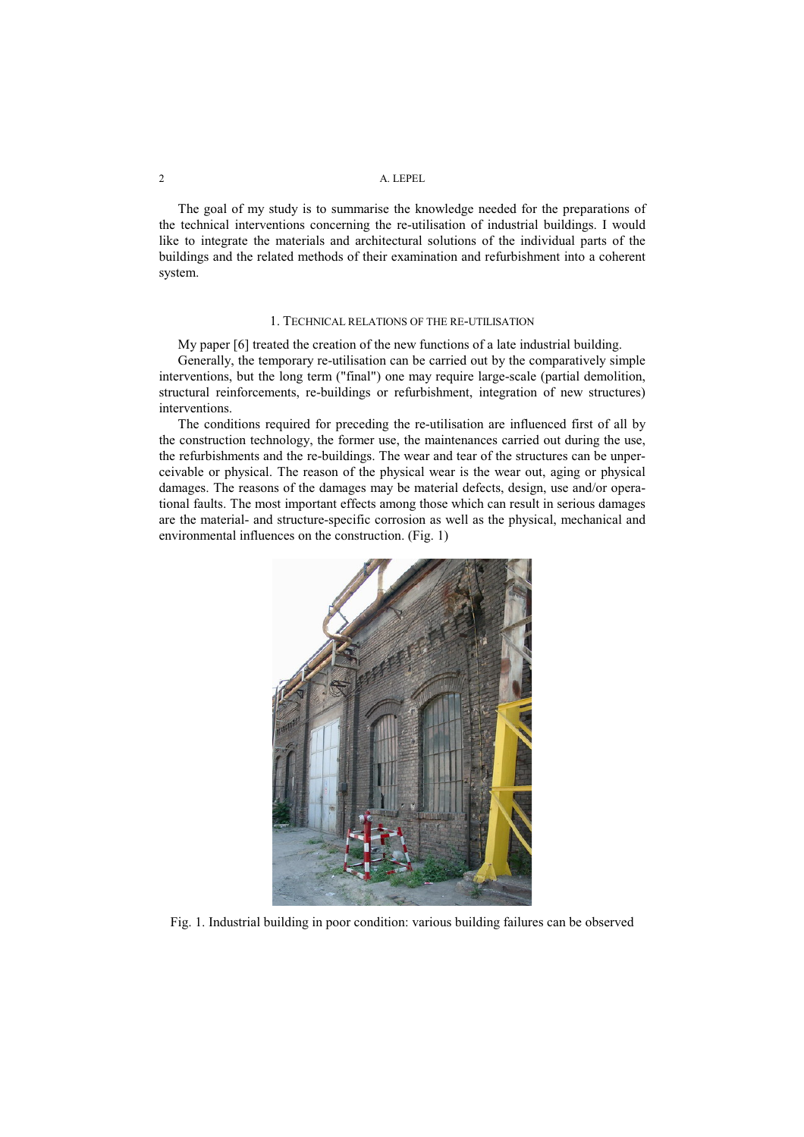The goal of my study is to summarise the knowledge needed for the preparations of the technical interventions concerning the re-utilisation of industrial buildings. I would like to integrate the materials and architectural solutions of the individual parts of the buildings and the related methods of their examination and refurbishment into a coherent system.

#### 1. TECHNICAL RELATIONS OF THE RE-UTILISATION

My paper [6] treated the creation of the new functions of a late industrial building.

Generally, the temporary re-utilisation can be carried out by the comparatively simple interventions, but the long term ("final") one may require large-scale (partial demolition, structural reinforcements, re-buildings or refurbishment, integration of new structures) interventions.

The conditions required for preceding the re-utilisation are influenced first of all by the construction technology, the former use, the maintenances carried out during the use, the refurbishments and the re-buildings. The wear and tear of the structures can be unperceivable or physical. The reason of the physical wear is the wear out, aging or physical damages. The reasons of the damages may be material defects, design, use and/or operational faults. The most important effects among those which can result in serious damages are the material- and structure-specific corrosion as well as the physical, mechanical and environmental influences on the construction. (Fig. 1)



Fig. 1. Industrial building in poor condition: various building failures can be observed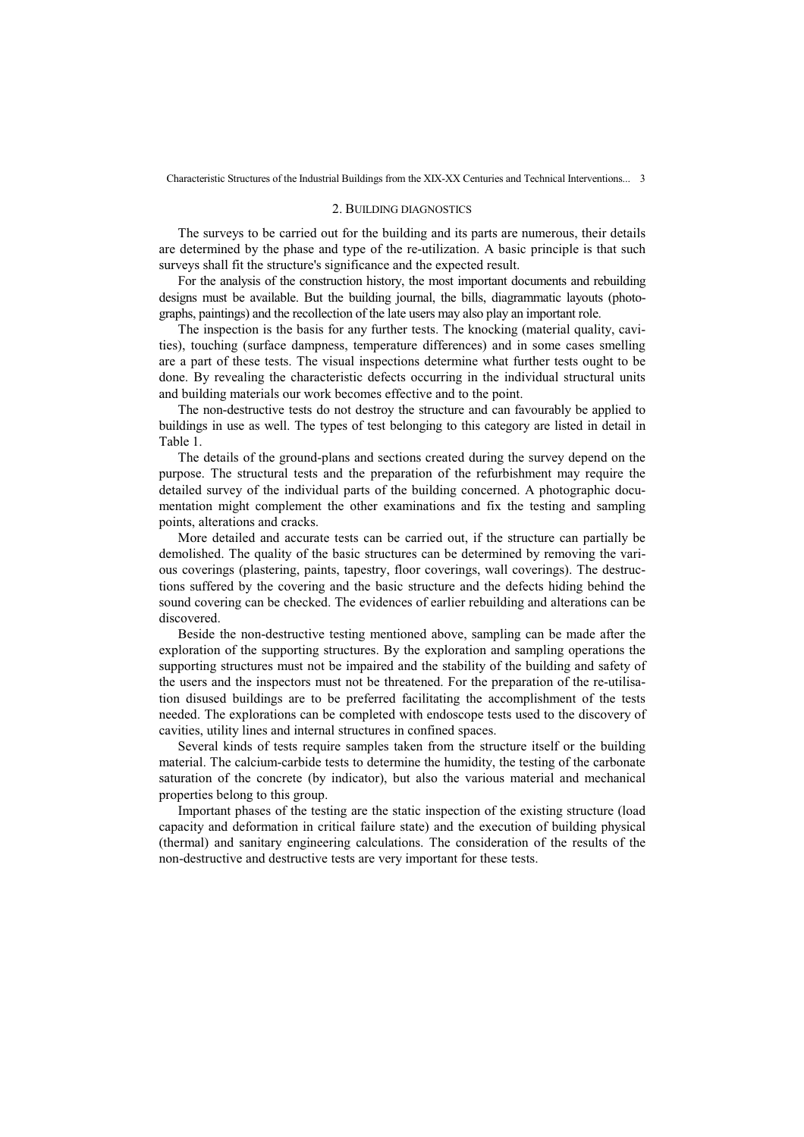#### 2. BUILDING DIAGNOSTICS

The surveys to be carried out for the building and its parts are numerous, their details are determined by the phase and type of the re-utilization. A basic principle is that such surveys shall fit the structure's significance and the expected result.

For the analysis of the construction history, the most important documents and rebuilding designs must be available. But the building journal, the bills, diagrammatic layouts (photographs, paintings) and the recollection of the late users may also play an important role.

The inspection is the basis for any further tests. The knocking (material quality, cavities), touching (surface dampness, temperature differences) and in some cases smelling are a part of these tests. The visual inspections determine what further tests ought to be done. By revealing the characteristic defects occurring in the individual structural units and building materials our work becomes effective and to the point.

The non-destructive tests do not destroy the structure and can favourably be applied to buildings in use as well. The types of test belonging to this category are listed in detail in Table 1.

The details of the ground-plans and sections created during the survey depend on the purpose. The structural tests and the preparation of the refurbishment may require the detailed survey of the individual parts of the building concerned. A photographic documentation might complement the other examinations and fix the testing and sampling points, alterations and cracks.

More detailed and accurate tests can be carried out, if the structure can partially be demolished. The quality of the basic structures can be determined by removing the various coverings (plastering, paints, tapestry, floor coverings, wall coverings). The destructions suffered by the covering and the basic structure and the defects hiding behind the sound covering can be checked. The evidences of earlier rebuilding and alterations can be discovered.

Beside the non-destructive testing mentioned above, sampling can be made after the exploration of the supporting structures. By the exploration and sampling operations the supporting structures must not be impaired and the stability of the building and safety of the users and the inspectors must not be threatened. For the preparation of the re-utilisation disused buildings are to be preferred facilitating the accomplishment of the tests needed. The explorations can be completed with endoscope tests used to the discovery of cavities, utility lines and internal structures in confined spaces.

Several kinds of tests require samples taken from the structure itself or the building material. The calcium-carbide tests to determine the humidity, the testing of the carbonate saturation of the concrete (by indicator), but also the various material and mechanical properties belong to this group.

Important phases of the testing are the static inspection of the existing structure (load capacity and deformation in critical failure state) and the execution of building physical (thermal) and sanitary engineering calculations. The consideration of the results of the non-destructive and destructive tests are very important for these tests.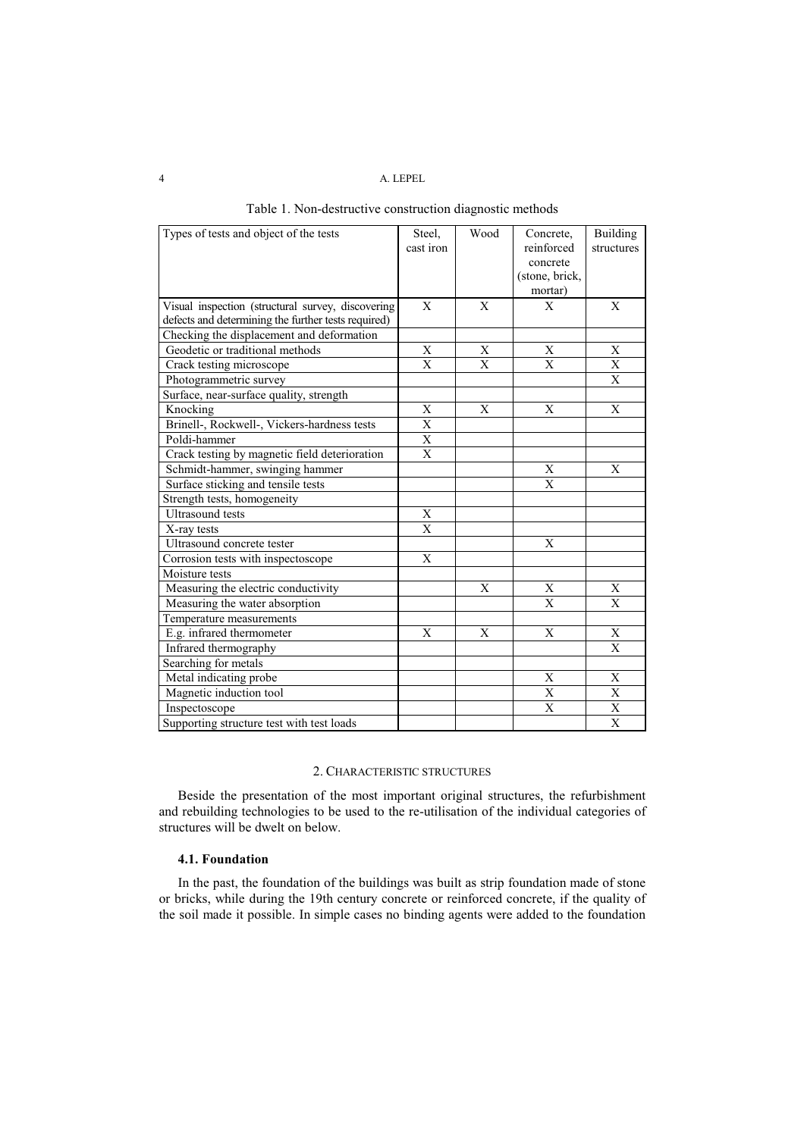| Types of tests and object of the tests              | Steel,<br>cast iron | Wood         | Concrete,<br>reinforced<br>concrete<br>(stone, brick,<br>mortar) | Building<br>structures |
|-----------------------------------------------------|---------------------|--------------|------------------------------------------------------------------|------------------------|
| Visual inspection (structural survey, discovering   | X                   | X            | X                                                                | X                      |
| defects and determining the further tests required) |                     |              |                                                                  |                        |
| Checking the displacement and deformation           |                     |              |                                                                  |                        |
| Geodetic or traditional methods                     | X                   | X            | X                                                                | X                      |
| Crack testing microscope                            | $\mathbf{X}$        | $\mathbf{X}$ | $\overline{X}$                                                   | $\mathbf X$            |
| Photogrammetric survey                              |                     |              |                                                                  | X                      |
| Surface, near-surface quality, strength             |                     |              |                                                                  |                        |
| Knocking                                            | $\mathbf X$         | $\mathbf X$  | $\mathbf{X}$                                                     | X                      |
| Brinell-, Rockwell-, Vickers-hardness tests         | X                   |              |                                                                  |                        |
| Poldi-hammer                                        | $\mathbf X$         |              |                                                                  |                        |
| Crack testing by magnetic field deterioration       | X                   |              |                                                                  |                        |
| Schmidt-hammer, swinging hammer                     |                     |              | X                                                                | X                      |
| Surface sticking and tensile tests                  |                     |              | X                                                                |                        |
| Strength tests, homogeneity                         |                     |              |                                                                  |                        |
| <b>Ultrasound</b> tests                             | X                   |              |                                                                  |                        |
| X-ray tests                                         | X                   |              |                                                                  |                        |
| Ultrasound concrete tester                          |                     |              | X                                                                |                        |
| Corrosion tests with inspectoscope                  | X                   |              |                                                                  |                        |
| Moisture tests                                      |                     |              |                                                                  |                        |
| Measuring the electric conductivity                 |                     | X            | $\mathbf X$                                                      | X                      |
| Measuring the water absorption                      |                     |              | X                                                                | X                      |
| Temperature measurements                            |                     |              |                                                                  |                        |
| E.g. infrared thermometer                           | X                   | X            | X                                                                | X                      |
| Infrared thermography                               |                     |              |                                                                  | $\mathbf{X}$           |
| Searching for metals                                |                     |              |                                                                  |                        |
| Metal indicating probe                              |                     |              | X                                                                | X                      |
| Magnetic induction tool                             |                     |              | $\mathbf X$                                                      | $\mathbf X$            |
| Inspectoscope                                       |                     |              | $\mathbf{X}$                                                     | $\overline{\text{X}}$  |
| Supporting structure test with test loads           |                     |              |                                                                  | $\mathbf X$            |

|  | Table 1. Non-destructive construction diagnostic methods |  |
|--|----------------------------------------------------------|--|
|  |                                                          |  |

## 2. CHARACTERISTIC STRUCTURES

Beside the presentation of the most important original structures, the refurbishment and rebuilding technologies to be used to the re-utilisation of the individual categories of structures will be dwelt on below.

## **4.1. Foundation**

In the past, the foundation of the buildings was built as strip foundation made of stone or bricks, while during the 19th century concrete or reinforced concrete, if the quality of the soil made it possible. In simple cases no binding agents were added to the foundation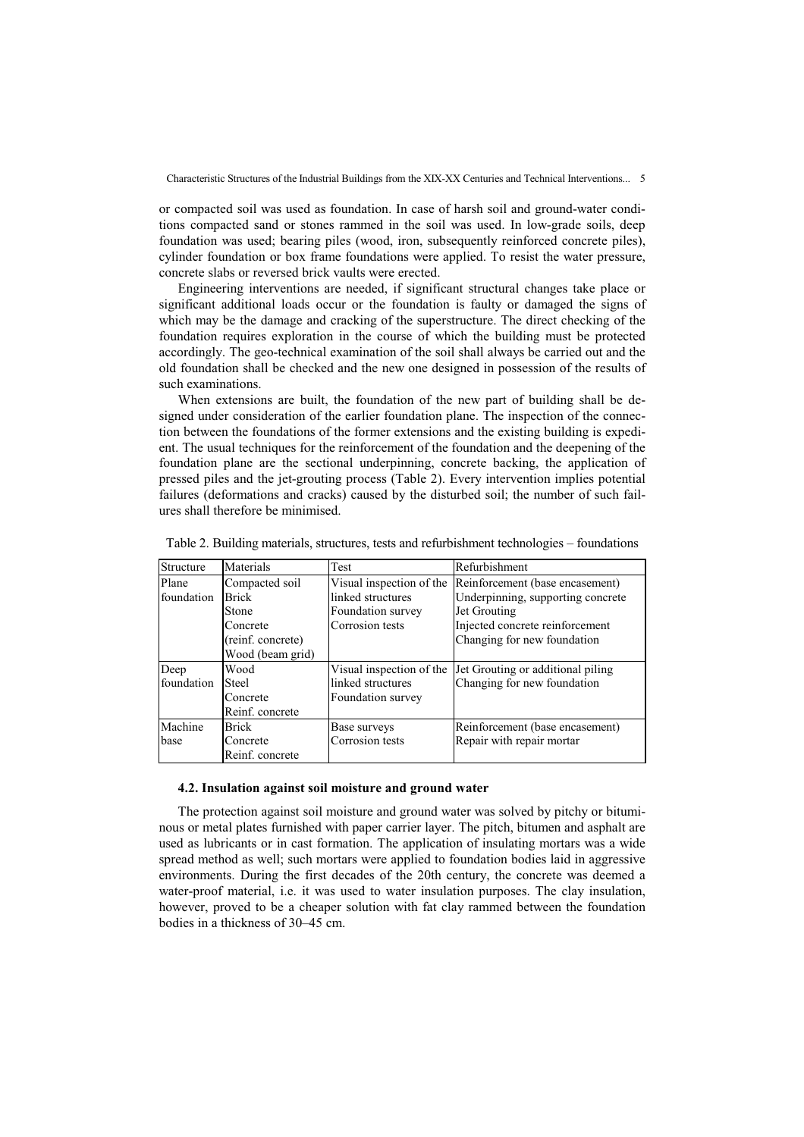or compacted soil was used as foundation. In case of harsh soil and ground-water conditions compacted sand or stones rammed in the soil was used. In low-grade soils, deep foundation was used; bearing piles (wood, iron, subsequently reinforced concrete piles), cylinder foundation or box frame foundations were applied. To resist the water pressure, concrete slabs or reversed brick vaults were erected.

Engineering interventions are needed, if significant structural changes take place or significant additional loads occur or the foundation is faulty or damaged the signs of which may be the damage and cracking of the superstructure. The direct checking of the foundation requires exploration in the course of which the building must be protected accordingly. The geo-technical examination of the soil shall always be carried out and the old foundation shall be checked and the new one designed in possession of the results of such examinations.

When extensions are built, the foundation of the new part of building shall be designed under consideration of the earlier foundation plane. The inspection of the connection between the foundations of the former extensions and the existing building is expedient. The usual techniques for the reinforcement of the foundation and the deepening of the foundation plane are the sectional underpinning, concrete backing, the application of pressed piles and the jet-grouting process (Table 2). Every intervention implies potential failures (deformations and cracks) caused by the disturbed soil; the number of such failures shall therefore be minimised.

| Structure  | Materials         | Test                     | Refurbishment                     |
|------------|-------------------|--------------------------|-----------------------------------|
| Plane      | Compacted soil    | Visual inspection of the | Reinforcement (base encasement)   |
| foundation | <b>IBrick</b>     | linked structures        | Underpinning, supporting concrete |
|            | <b>Stone</b>      | Foundation survey        | Jet Grouting                      |
|            | Concrete          | Corrosion tests          | Injected concrete reinforcement   |
|            | (reinf. concrete) |                          | Changing for new foundation       |
|            | Wood (beam grid)  |                          |                                   |
| Deep       | Wood              | Visual inspection of the | Jet Grouting or additional piling |
| foundation | Steel             | linked structures        | Changing for new foundation       |
|            | Concrete          | Foundation survey        |                                   |
|            | Reinf. concrete   |                          |                                   |
| Machine    | <b>Brick</b>      | Base surveys             | Reinforcement (base encasement)   |
| base       | Concrete          | Corrosion tests          | Repair with repair mortar         |
|            | Reinf. concrete   |                          |                                   |

|  | Table 2. Building materials, structures, tests and refurbishment technologies – foundations |  |
|--|---------------------------------------------------------------------------------------------|--|
|  |                                                                                             |  |

#### **4.2. Insulation against soil moisture and ground water**

The protection against soil moisture and ground water was solved by pitchy or bituminous or metal plates furnished with paper carrier layer. The pitch, bitumen and asphalt are used as lubricants or in cast formation. The application of insulating mortars was a wide spread method as well; such mortars were applied to foundation bodies laid in aggressive environments. During the first decades of the 20th century, the concrete was deemed a water-proof material, i.e. it was used to water insulation purposes. The clay insulation, however, proved to be a cheaper solution with fat clay rammed between the foundation bodies in a thickness of 30–45 cm.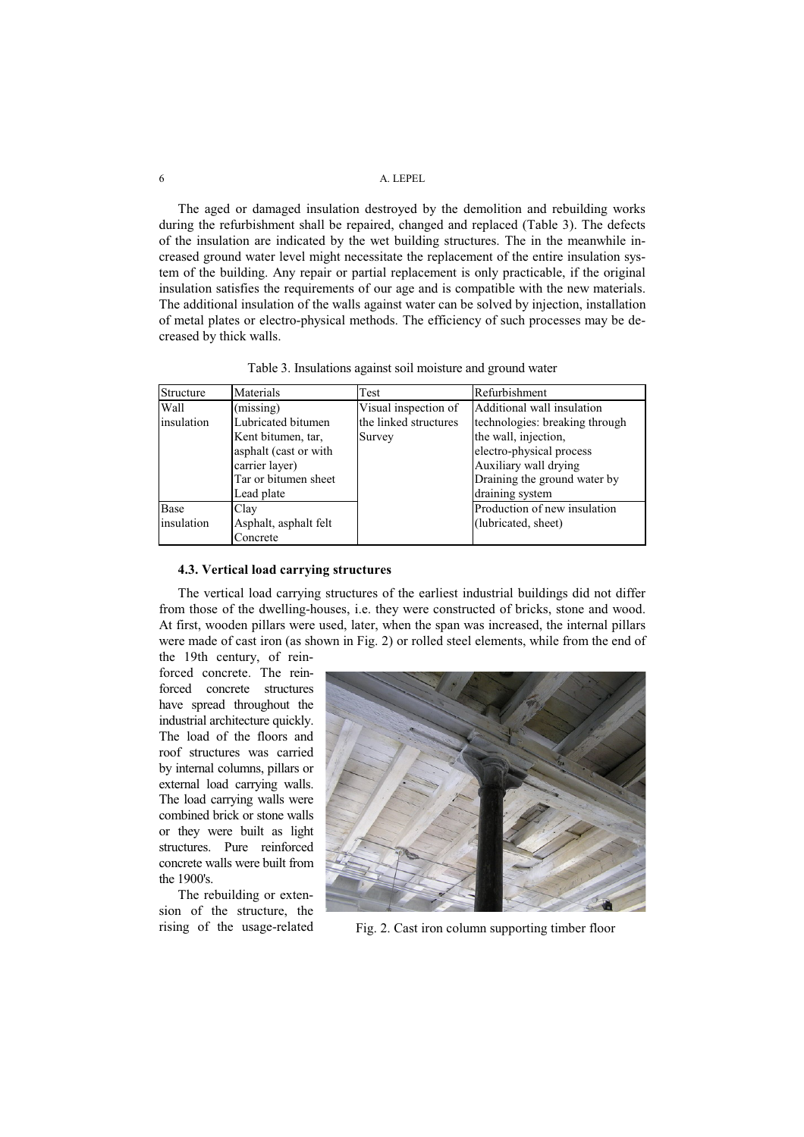The aged or damaged insulation destroyed by the demolition and rebuilding works during the refurbishment shall be repaired, changed and replaced (Table 3). The defects of the insulation are indicated by the wet building structures. The in the meanwhile increased ground water level might necessitate the replacement of the entire insulation system of the building. Any repair or partial replacement is only practicable, if the original insulation satisfies the requirements of our age and is compatible with the new materials. The additional insulation of the walls against water can be solved by injection, installation of metal plates or electro-physical methods. The efficiency of such processes may be decreased by thick walls.

|  |  | Table 3. Insulations against soil moisture and ground water |  |  |
|--|--|-------------------------------------------------------------|--|--|
|  |  |                                                             |  |  |

| Structure  | Materials             | Test                  | Refurbishment                  |
|------------|-----------------------|-----------------------|--------------------------------|
| Wall       | (missing)             | Visual inspection of  | Additional wall insulation     |
| insulation | Lubricated bitumen    | the linked structures | technologies: breaking through |
|            | Kent bitumen, tar,    | Survey                | the wall, injection,           |
|            | asphalt (cast or with |                       | electro-physical process       |
|            | carrier layer)        |                       | Auxiliary wall drying          |
|            | Tar or bitumen sheet  |                       | Draining the ground water by   |
|            | Lead plate            |                       | draining system                |
| Base       | Clay                  |                       | Production of new insulation   |
| insulation | Asphalt, asphalt felt |                       | (lubricated, sheet)            |
|            | Concrete              |                       |                                |

## **4.3. Vertical load carrying structures**

The vertical load carrying structures of the earliest industrial buildings did not differ from those of the dwelling-houses, i.e. they were constructed of bricks, stone and wood. At first, wooden pillars were used, later, when the span was increased, the internal pillars were made of cast iron (as shown in Fig. 2) or rolled steel elements, while from the end of the 19th century, of rein-

forced concrete. The reinforced concrete structures have spread throughout the industrial architecture quickly. The load of the floors and roof structures was carried by internal columns, pillars or external load carrying walls. The load carrying walls were combined brick or stone walls or they were built as light structures. Pure reinforced concrete walls were built from the 1900's.

The rebuilding or extension of the structure, the



rising of the usage-related Fig. 2. Cast iron column supporting timber floor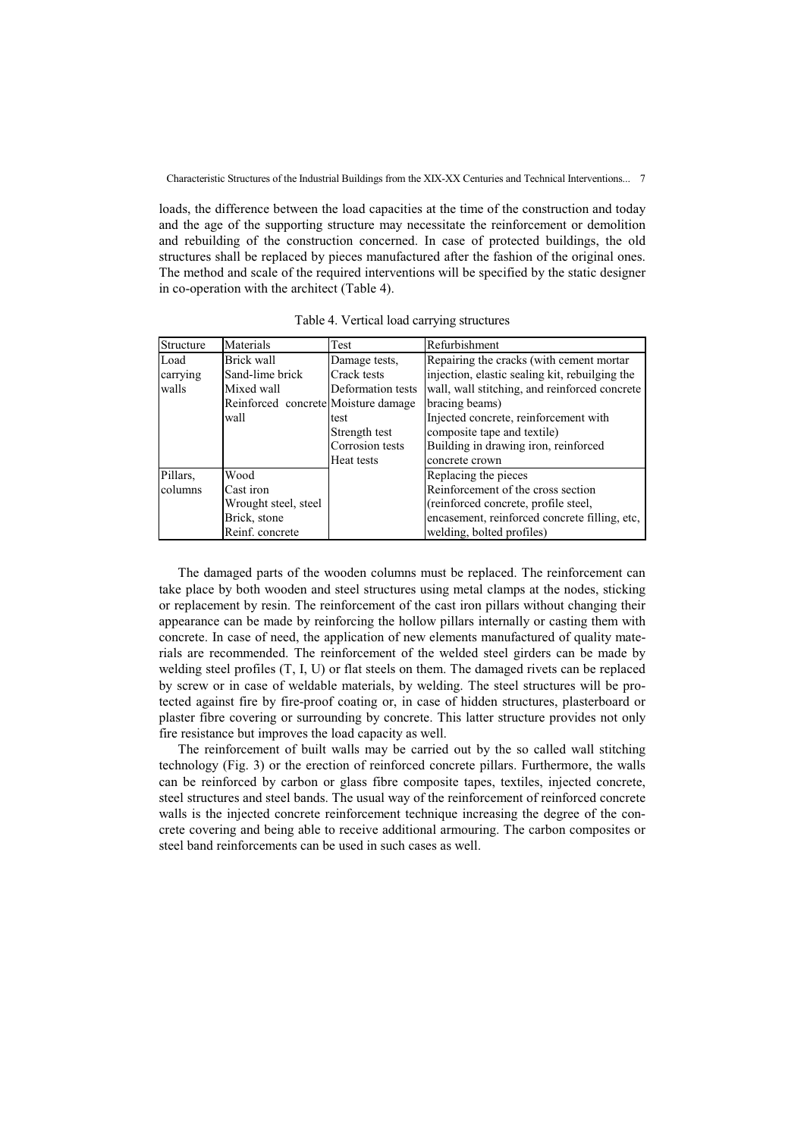loads, the difference between the load capacities at the time of the construction and today and the age of the supporting structure may necessitate the reinforcement or demolition and rebuilding of the construction concerned. In case of protected buildings, the old structures shall be replaced by pieces manufactured after the fashion of the original ones. The method and scale of the required interventions will be specified by the static designer in co-operation with the architect (Table 4).

| Structure | Materials                           | Test              | Refurbishment                                  |
|-----------|-------------------------------------|-------------------|------------------------------------------------|
| Load      | Brick wall                          | Damage tests.     | Repairing the cracks (with cement mortar       |
| carrying  | Sand-lime brick                     | Crack tests       | injection, elastic sealing kit, rebuilging the |
| walls     | Mixed wall                          | Deformation tests | wall, wall stitching, and reinforced concrete  |
|           | Reinforced concrete Moisture damage |                   | bracing beams)                                 |
|           | wall                                | test              | Injected concrete, reinforcement with          |
|           |                                     | Strength test     | composite tape and textile)                    |
|           |                                     | Corrosion tests   | Building in drawing iron, reinforced           |
|           |                                     | Heat tests        | concrete crown                                 |
| Pillars,  | Wood                                |                   | Replacing the pieces                           |
| columns   | Cast iron                           |                   | Reinforcement of the cross section             |
|           | Wrought steel, steel                |                   | (reinforced concrete, profile steel,           |
|           | Brick, stone                        |                   | encasement, reinforced concrete filling, etc,  |
|           | Reinf. concrete                     |                   | welding, bolted profiles)                      |

Table 4. Vertical load carrying structures

The damaged parts of the wooden columns must be replaced. The reinforcement can take place by both wooden and steel structures using metal clamps at the nodes, sticking or replacement by resin. The reinforcement of the cast iron pillars without changing their appearance can be made by reinforcing the hollow pillars internally or casting them with concrete. In case of need, the application of new elements manufactured of quality materials are recommended. The reinforcement of the welded steel girders can be made by welding steel profiles (T, I, U) or flat steels on them. The damaged rivets can be replaced by screw or in case of weldable materials, by welding. The steel structures will be protected against fire by fire-proof coating or, in case of hidden structures, plasterboard or plaster fibre covering or surrounding by concrete. This latter structure provides not only fire resistance but improves the load capacity as well.

The reinforcement of built walls may be carried out by the so called wall stitching technology (Fig. 3) or the erection of reinforced concrete pillars. Furthermore, the walls can be reinforced by carbon or glass fibre composite tapes, textiles, injected concrete, steel structures and steel bands. The usual way of the reinforcement of reinforced concrete walls is the injected concrete reinforcement technique increasing the degree of the concrete covering and being able to receive additional armouring. The carbon composites or steel band reinforcements can be used in such cases as well.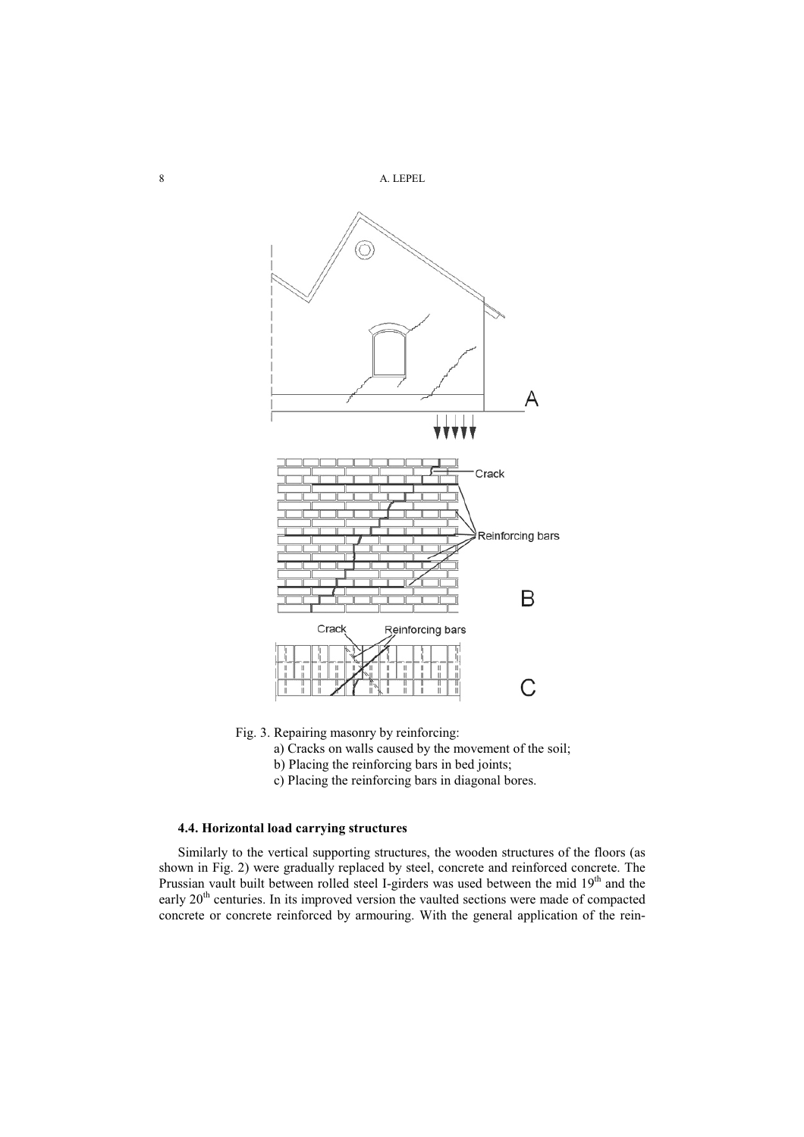

Fig. 3. Repairing masonry by reinforcing:

a) Cracks on walls caused by the movement of the soil;

- b) Placing the reinforcing bars in bed joints;
- c) Placing the reinforcing bars in diagonal bores.

## **4.4. Horizontal load carrying structures**

Similarly to the vertical supporting structures, the wooden structures of the floors (as shown in Fig. 2) were gradually replaced by steel, concrete and reinforced concrete. The Prussian vault built between rolled steel I-girders was used between the mid 19<sup>th</sup> and the early 20<sup>th</sup> centuries. In its improved version the vaulted sections were made of compacted concrete or concrete reinforced by armouring. With the general application of the rein-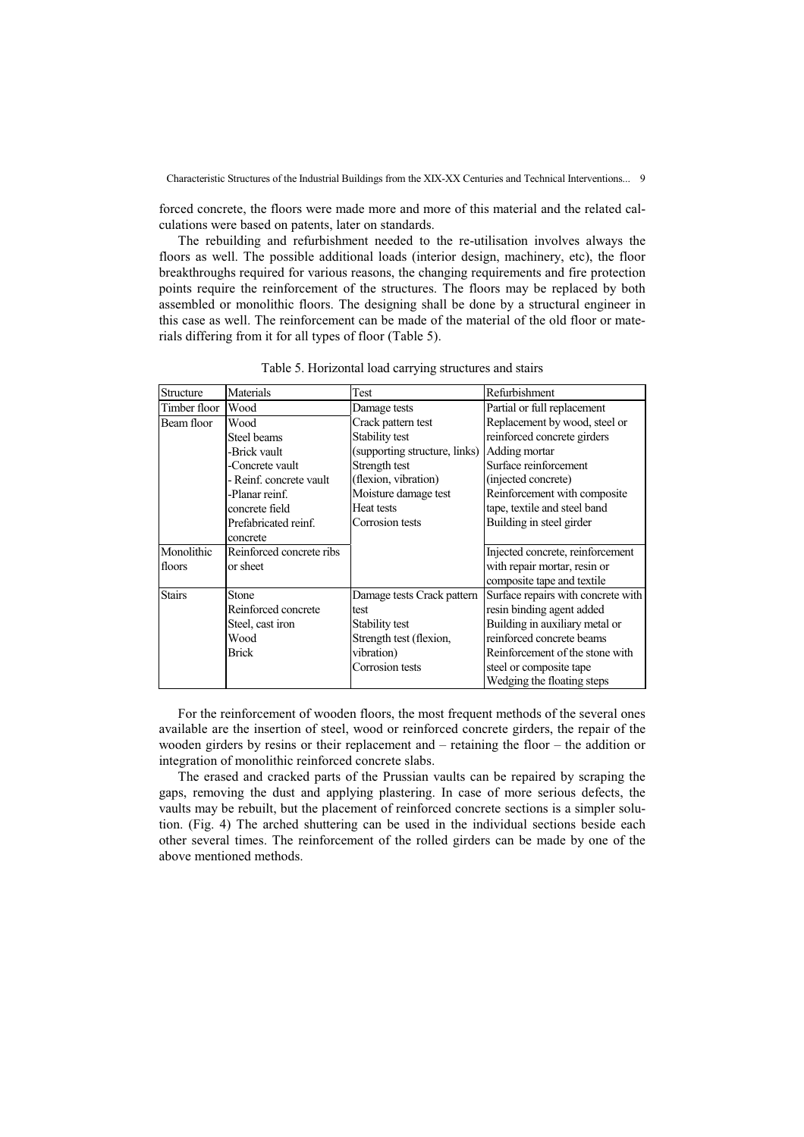forced concrete, the floors were made more and more of this material and the related calculations were based on patents, later on standards.

The rebuilding and refurbishment needed to the re-utilisation involves always the floors as well. The possible additional loads (interior design, machinery, etc), the floor breakthroughs required for various reasons, the changing requirements and fire protection points require the reinforcement of the structures. The floors may be replaced by both assembled or monolithic floors. The designing shall be done by a structural engineer in this case as well. The reinforcement can be made of the material of the old floor or materials differing from it for all types of floor (Table 5).

| Structure     | Materials                | Test                          | Refurbishment                      |
|---------------|--------------------------|-------------------------------|------------------------------------|
| Timber floor  | <b>Wood</b>              | Damage tests                  | Partial or full replacement        |
| Beam floor    | Wood                     | Crack pattern test            | Replacement by wood, steel or      |
|               | Steel beams              | Stability test                | reinforced concrete girders        |
|               | -Brick vault             | (supporting structure, links) | Adding mortar                      |
|               | -Concrete vault          | Strength test                 | Surface reinforcement              |
|               | - Reinf. concrete vault  | (flexion, vibration)          | (injected concrete)                |
|               | -Planar reinf.           | Moisture damage test          | Reinforcement with composite       |
|               | concrete field           | <b>Heat tests</b>             | tape, textile and steel band       |
|               | Prefabricated reinf.     | Corrosion tests               | Building in steel girder           |
|               | concrete                 |                               |                                    |
| Monolithic    | Reinforced concrete ribs |                               | Injected concrete, reinforcement   |
| floors        | or sheet                 |                               | with repair mortar, resin or       |
|               |                          |                               | composite tape and textile         |
| <b>Stairs</b> | Stone                    | Damage tests Crack pattern    | Surface repairs with concrete with |
|               | Reinforced concrete      | test                          | resin binding agent added          |
|               | Steel, cast iron         | Stability test                | Building in auxiliary metal or     |
|               | Wood                     | Strength test (flexion,       | reinforced concrete beams          |
|               | <b>Brick</b>             | vibration)                    | Reinforcement of the stone with    |
|               |                          | Corrosion tests               | steel or composite tape            |
|               |                          |                               | Wedging the floating steps         |

Table 5. Horizontal load carrying structures and stairs

For the reinforcement of wooden floors, the most frequent methods of the several ones available are the insertion of steel, wood or reinforced concrete girders, the repair of the wooden girders by resins or their replacement and – retaining the floor – the addition or integration of monolithic reinforced concrete slabs.

The erased and cracked parts of the Prussian vaults can be repaired by scraping the gaps, removing the dust and applying plastering. In case of more serious defects, the vaults may be rebuilt, but the placement of reinforced concrete sections is a simpler solution. (Fig. 4) The arched shuttering can be used in the individual sections beside each other several times. The reinforcement of the rolled girders can be made by one of the above mentioned methods.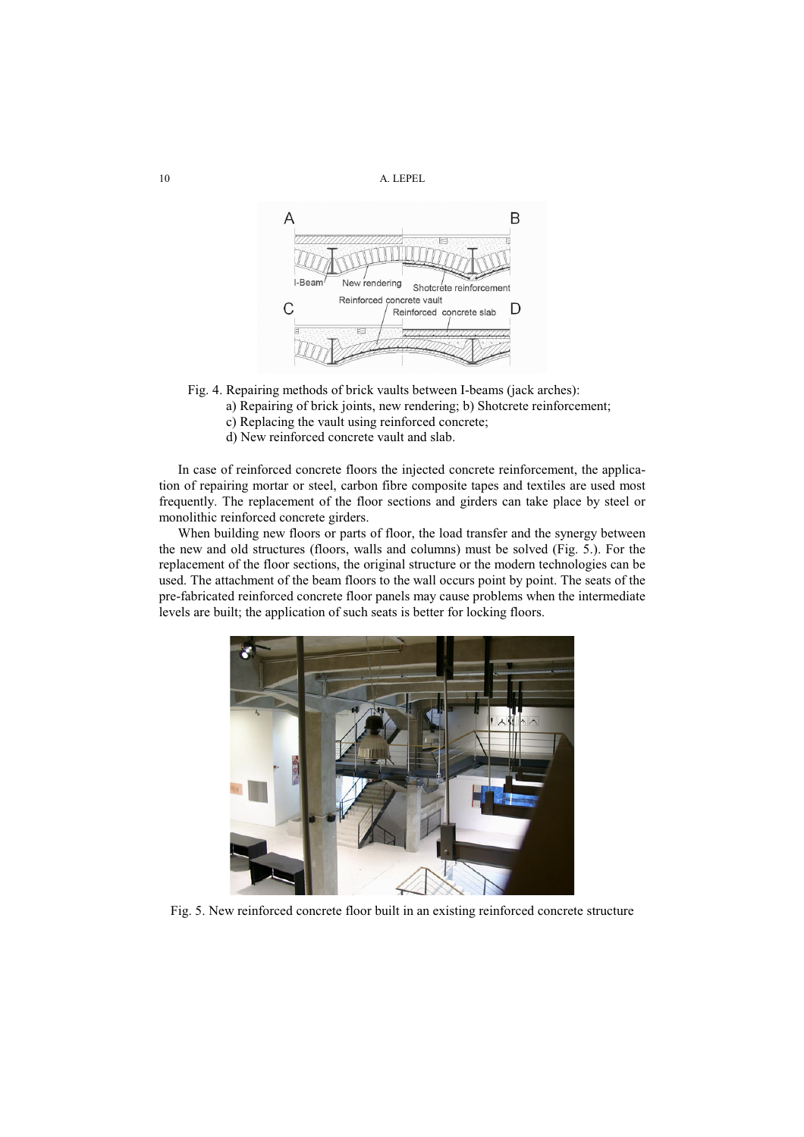

- Fig. 4. Repairing methods of brick vaults between I-beams (jack arches):
	- a) Repairing of brick joints, new rendering; b) Shotcrete reinforcement;
	- c) Replacing the vault using reinforced concrete;
	- d) New reinforced concrete vault and slab.

In case of reinforced concrete floors the injected concrete reinforcement, the application of repairing mortar or steel, carbon fibre composite tapes and textiles are used most frequently. The replacement of the floor sections and girders can take place by steel or monolithic reinforced concrete girders.

When building new floors or parts of floor, the load transfer and the synergy between the new and old structures (floors, walls and columns) must be solved (Fig. 5.). For the replacement of the floor sections, the original structure or the modern technologies can be used. The attachment of the beam floors to the wall occurs point by point. The seats of the pre-fabricated reinforced concrete floor panels may cause problems when the intermediate levels are built; the application of such seats is better for locking floors.



Fig. 5. New reinforced concrete floor built in an existing reinforced concrete structure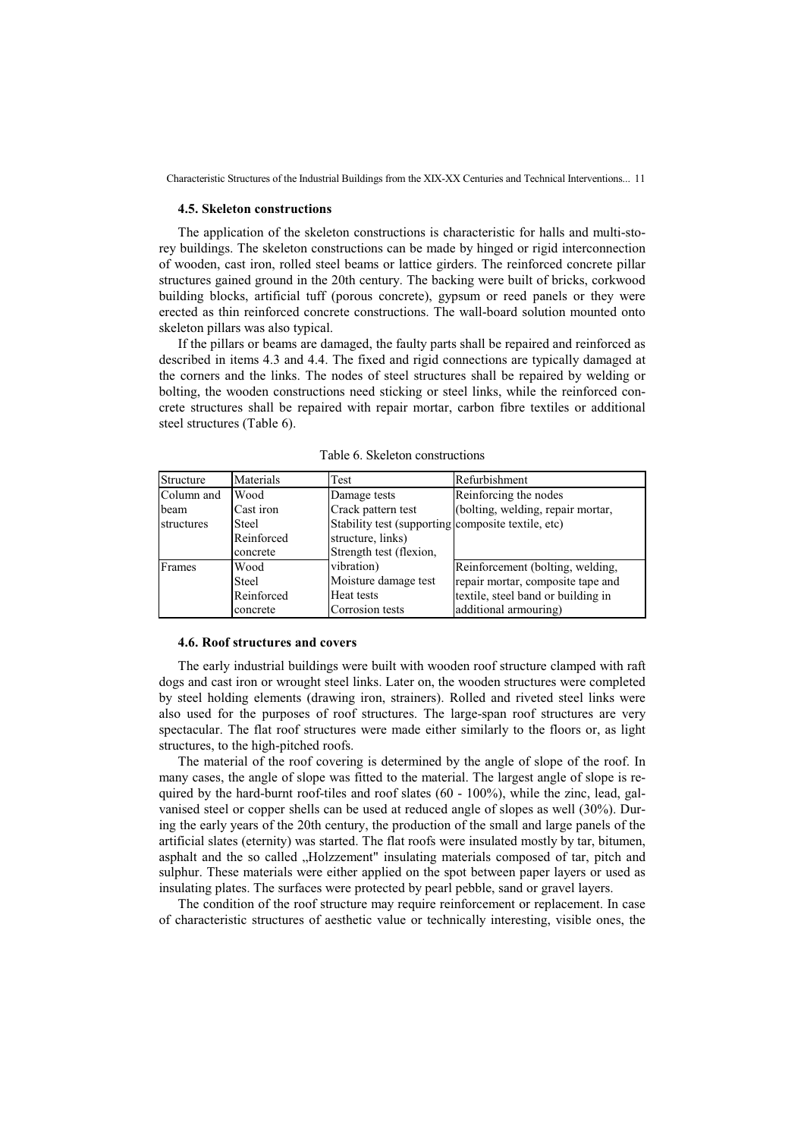#### **4.5. Skeleton constructions**

The application of the skeleton constructions is characteristic for halls and multi-storey buildings. The skeleton constructions can be made by hinged or rigid interconnection of wooden, cast iron, rolled steel beams or lattice girders. The reinforced concrete pillar structures gained ground in the 20th century. The backing were built of bricks, corkwood building blocks, artificial tuff (porous concrete), gypsum or reed panels or they were erected as thin reinforced concrete constructions. The wall-board solution mounted onto skeleton pillars was also typical.

If the pillars or beams are damaged, the faulty parts shall be repaired and reinforced as described in items 4.3 and 4.4. The fixed and rigid connections are typically damaged at the corners and the links. The nodes of steel structures shall be repaired by welding or bolting, the wooden constructions need sticking or steel links, while the reinforced concrete structures shall be repaired with repair mortar, carbon fibre textiles or additional steel structures (Table 6).

| Structure  | Materials    | Test                                               | Refurbishment                      |
|------------|--------------|----------------------------------------------------|------------------------------------|
| Column and | <b>Wood</b>  | Damage tests                                       | Reinforcing the nodes              |
| beam       | Cast iron    | Crack pattern test                                 | (bolting, welding, repair mortar,  |
| structures | Steel        | Stability test (supporting composite textile, etc) |                                    |
|            | Reinforced   | structure, links)                                  |                                    |
|            | concrete     | Strength test (flexion,                            |                                    |
| Frames     | Wood         | vibration)                                         | Reinforcement (bolting, welding,   |
|            | <b>Steel</b> | Moisture damage test                               | repair mortar, composite tape and  |
|            | Reinforced   | Heat tests                                         | textile, steel band or building in |
|            | concrete     | Corrosion tests                                    | additional armouring)              |

Table 6. Skeleton constructions

#### **4.6. Roof structures and covers**

The early industrial buildings were built with wooden roof structure clamped with raft dogs and cast iron or wrought steel links. Later on, the wooden structures were completed by steel holding elements (drawing iron, strainers). Rolled and riveted steel links were also used for the purposes of roof structures. The large-span roof structures are very spectacular. The flat roof structures were made either similarly to the floors or, as light structures, to the high-pitched roofs.

The material of the roof covering is determined by the angle of slope of the roof. In many cases, the angle of slope was fitted to the material. The largest angle of slope is required by the hard-burnt roof-tiles and roof slates  $(60 - 100\%)$ , while the zinc, lead, galvanised steel or copper shells can be used at reduced angle of slopes as well (30%). During the early years of the 20th century, the production of the small and large panels of the artificial slates (eternity) was started. The flat roofs were insulated mostly by tar, bitumen, asphalt and the so called "Holzzement" insulating materials composed of tar, pitch and sulphur. These materials were either applied on the spot between paper layers or used as insulating plates. The surfaces were protected by pearl pebble, sand or gravel layers.

The condition of the roof structure may require reinforcement or replacement. In case of characteristic structures of aesthetic value or technically interesting, visible ones, the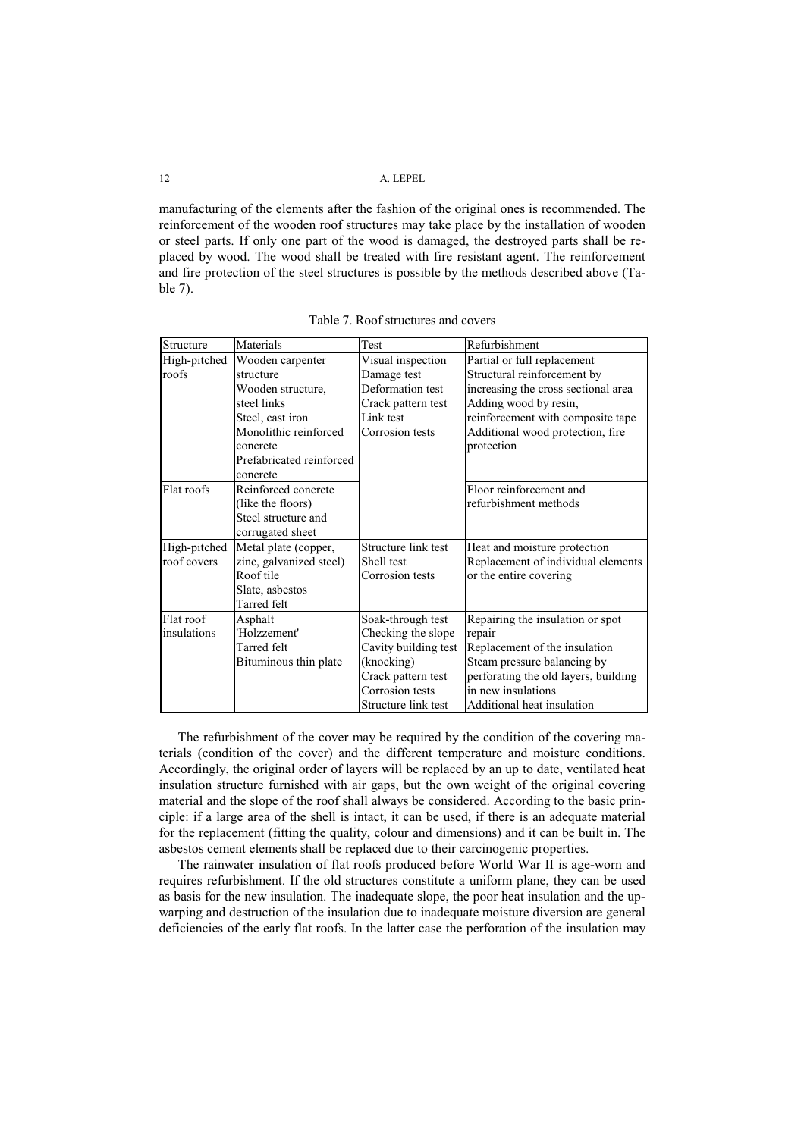manufacturing of the elements after the fashion of the original ones is recommended. The reinforcement of the wooden roof structures may take place by the installation of wooden or steel parts. If only one part of the wood is damaged, the destroyed parts shall be replaced by wood. The wood shall be treated with fire resistant agent. The reinforcement and fire protection of the steel structures is possible by the methods described above (Table 7).

| Structure    | Materials                | Test                 | Refurbishment                        |
|--------------|--------------------------|----------------------|--------------------------------------|
| High-pitched | Wooden carpenter         | Visual inspection    | Partial or full replacement          |
| roofs        | structure                | Damage test          | Structural reinforcement by          |
|              | Wooden structure,        | Deformation test     | increasing the cross sectional area  |
|              | steel links              | Crack pattern test   | Adding wood by resin,                |
|              | Steel, cast iron         | Link test            | reinforcement with composite tape    |
|              | Monolithic reinforced    | Corrosion tests      | Additional wood protection, fire     |
|              | concrete                 |                      | protection                           |
|              | Prefabricated reinforced |                      |                                      |
|              | concrete                 |                      |                                      |
| Flat roofs   | Reinforced concrete      |                      | Floor reinforcement and              |
|              | (like the floors)        |                      | refurbishment methods                |
|              | Steel structure and      |                      |                                      |
|              | corrugated sheet         |                      |                                      |
| High-pitched | Metal plate (copper,     | Structure link test  | Heat and moisture protection         |
| roof covers  | zinc, galvanized steel)  | Shell test           | Replacement of individual elements   |
|              | Roof tile                | Corrosion tests      | or the entire covering               |
|              | Slate, asbestos          |                      |                                      |
|              | Tarred felt              |                      |                                      |
| Flat roof    | Asphalt                  | Soak-through test    | Repairing the insulation or spot     |
| insulations  | 'Holzzement'             | Checking the slope   | repair                               |
|              | Tarred felt              | Cavity building test | Replacement of the insulation        |
|              | Bituminous thin plate    | (knocking)           | Steam pressure balancing by          |
|              |                          | Crack pattern test   | perforating the old layers, building |
|              |                          | Corrosion tests      | in new insulations                   |
|              |                          | Structure link test  | Additional heat insulation           |

Table 7. Roof structures and covers

The refurbishment of the cover may be required by the condition of the covering materials (condition of the cover) and the different temperature and moisture conditions. Accordingly, the original order of layers will be replaced by an up to date, ventilated heat insulation structure furnished with air gaps, but the own weight of the original covering material and the slope of the roof shall always be considered. According to the basic principle: if a large area of the shell is intact, it can be used, if there is an adequate material for the replacement (fitting the quality, colour and dimensions) and it can be built in. The asbestos cement elements shall be replaced due to their carcinogenic properties.

The rainwater insulation of flat roofs produced before World War II is age-worn and requires refurbishment. If the old structures constitute a uniform plane, they can be used as basis for the new insulation. The inadequate slope, the poor heat insulation and the upwarping and destruction of the insulation due to inadequate moisture diversion are general deficiencies of the early flat roofs. In the latter case the perforation of the insulation may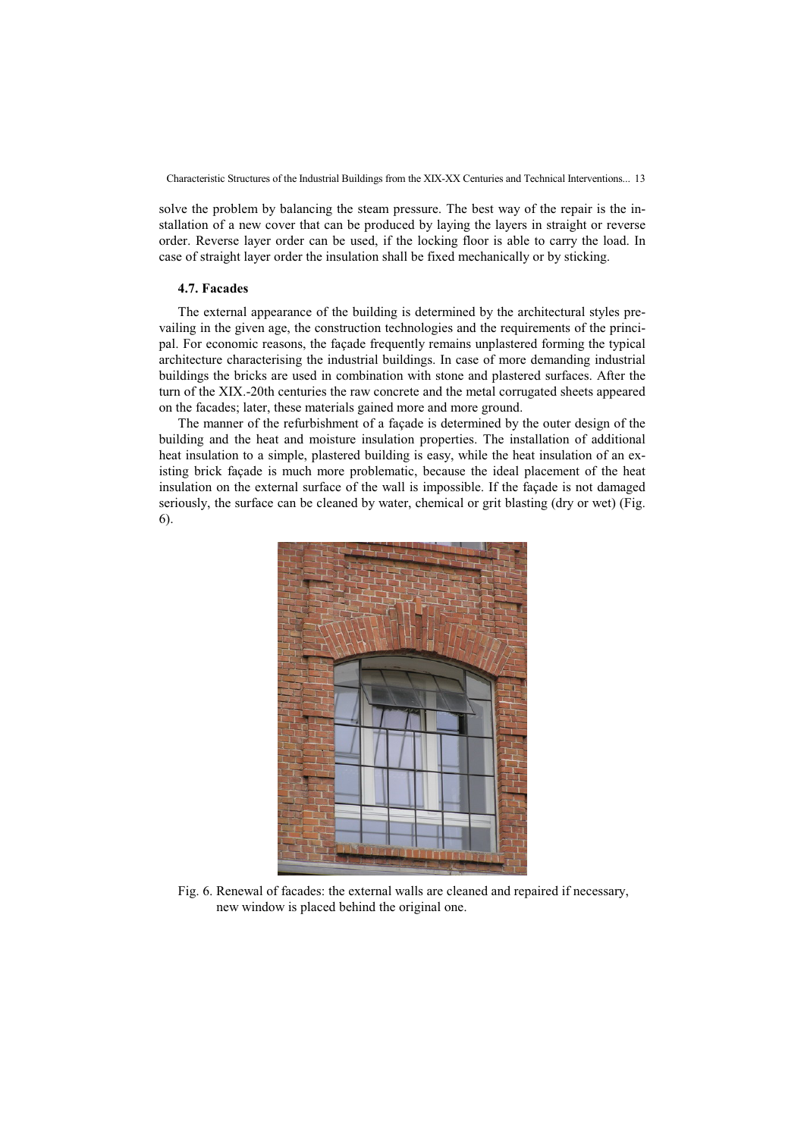solve the problem by balancing the steam pressure. The best way of the repair is the installation of a new cover that can be produced by laying the layers in straight or reverse order. Reverse layer order can be used, if the locking floor is able to carry the load. In case of straight layer order the insulation shall be fixed mechanically or by sticking.

## **4.7. Facades**

The external appearance of the building is determined by the architectural styles prevailing in the given age, the construction technologies and the requirements of the principal. For economic reasons, the façade frequently remains unplastered forming the typical architecture characterising the industrial buildings. In case of more demanding industrial buildings the bricks are used in combination with stone and plastered surfaces. After the turn of the XIX.-20th centuries the raw concrete and the metal corrugated sheets appeared on the facades; later, these materials gained more and more ground.

The manner of the refurbishment of a façade is determined by the outer design of the building and the heat and moisture insulation properties. The installation of additional heat insulation to a simple, plastered building is easy, while the heat insulation of an existing brick façade is much more problematic, because the ideal placement of the heat insulation on the external surface of the wall is impossible. If the façade is not damaged seriously, the surface can be cleaned by water, chemical or grit blasting (dry or wet) (Fig. 6).



Fig. 6. Renewal of facades: the external walls are cleaned and repaired if necessary, new window is placed behind the original one.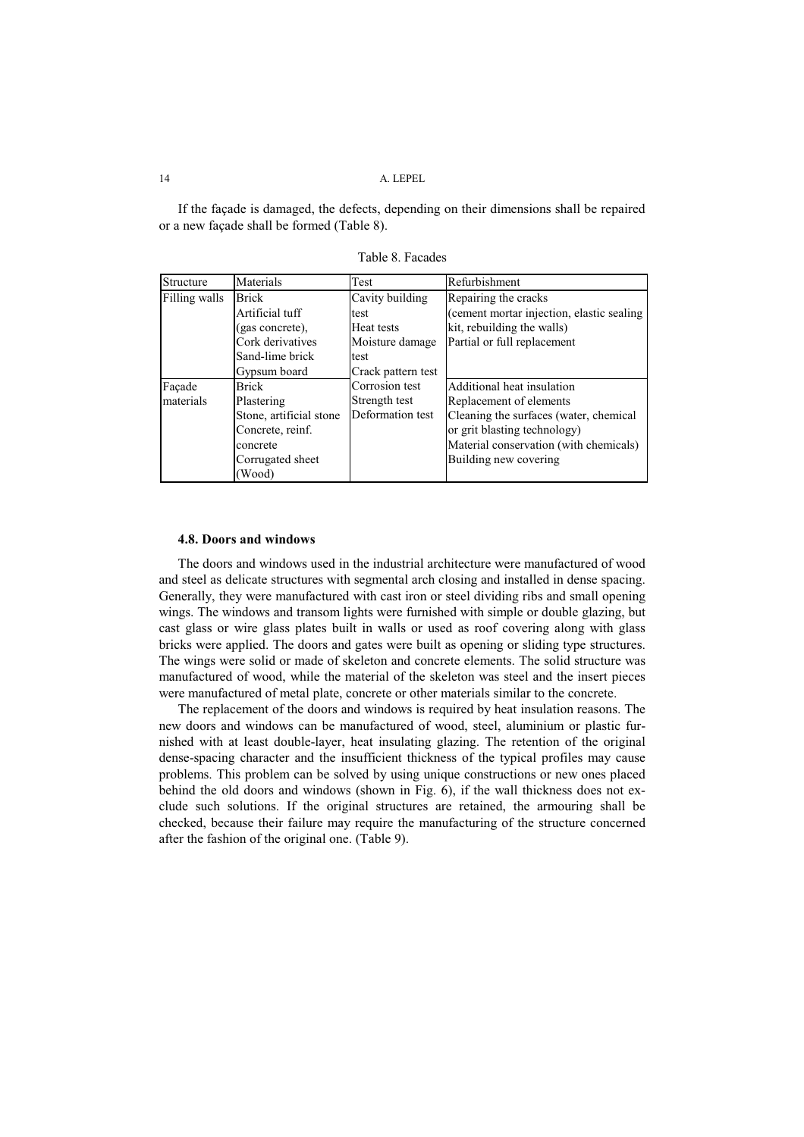If the façade is damaged, the defects, depending on their dimensions shall be repaired or a new façade shall be formed (Table 8).

| Structure     | Materials               | Test               | Refurbishment                             |
|---------------|-------------------------|--------------------|-------------------------------------------|
| Filling walls | <b>Brick</b>            | Cavity building    | Repairing the cracks                      |
|               | Artificial tuff         | test               | (cement mortar injection, elastic sealing |
|               | (gas concrete).         | Heat tests         | kit, rebuilding the walls)                |
|               | Cork derivatives        | Moisture damage    | Partial or full replacement               |
|               | Sand-lime brick         | test               |                                           |
|               | Gypsum board            | Crack pattern test |                                           |
| Facade        | <b>Brick</b>            | Corrosion test     | Additional heat insulation                |
| materials     | Plastering              | Strength test      | Replacement of elements                   |
|               | Stone, artificial stone | Deformation test   | Cleaning the surfaces (water, chemical    |
|               | Concrete, reinf.        |                    | or grit blasting technology)              |
|               | concrete                |                    | Material conservation (with chemicals)    |
|               | Corrugated sheet        |                    | Building new covering                     |
|               | (Wood)                  |                    |                                           |

Table 8. Facades

## **4.8. Doors and windows**

The doors and windows used in the industrial architecture were manufactured of wood and steel as delicate structures with segmental arch closing and installed in dense spacing. Generally, they were manufactured with cast iron or steel dividing ribs and small opening wings. The windows and transom lights were furnished with simple or double glazing, but cast glass or wire glass plates built in walls or used as roof covering along with glass bricks were applied. The doors and gates were built as opening or sliding type structures. The wings were solid or made of skeleton and concrete elements. The solid structure was manufactured of wood, while the material of the skeleton was steel and the insert pieces were manufactured of metal plate, concrete or other materials similar to the concrete.

The replacement of the doors and windows is required by heat insulation reasons. The new doors and windows can be manufactured of wood, steel, aluminium or plastic furnished with at least double-layer, heat insulating glazing. The retention of the original dense-spacing character and the insufficient thickness of the typical profiles may cause problems. This problem can be solved by using unique constructions or new ones placed behind the old doors and windows (shown in Fig. 6), if the wall thickness does not exclude such solutions. If the original structures are retained, the armouring shall be checked, because their failure may require the manufacturing of the structure concerned after the fashion of the original one. (Table 9).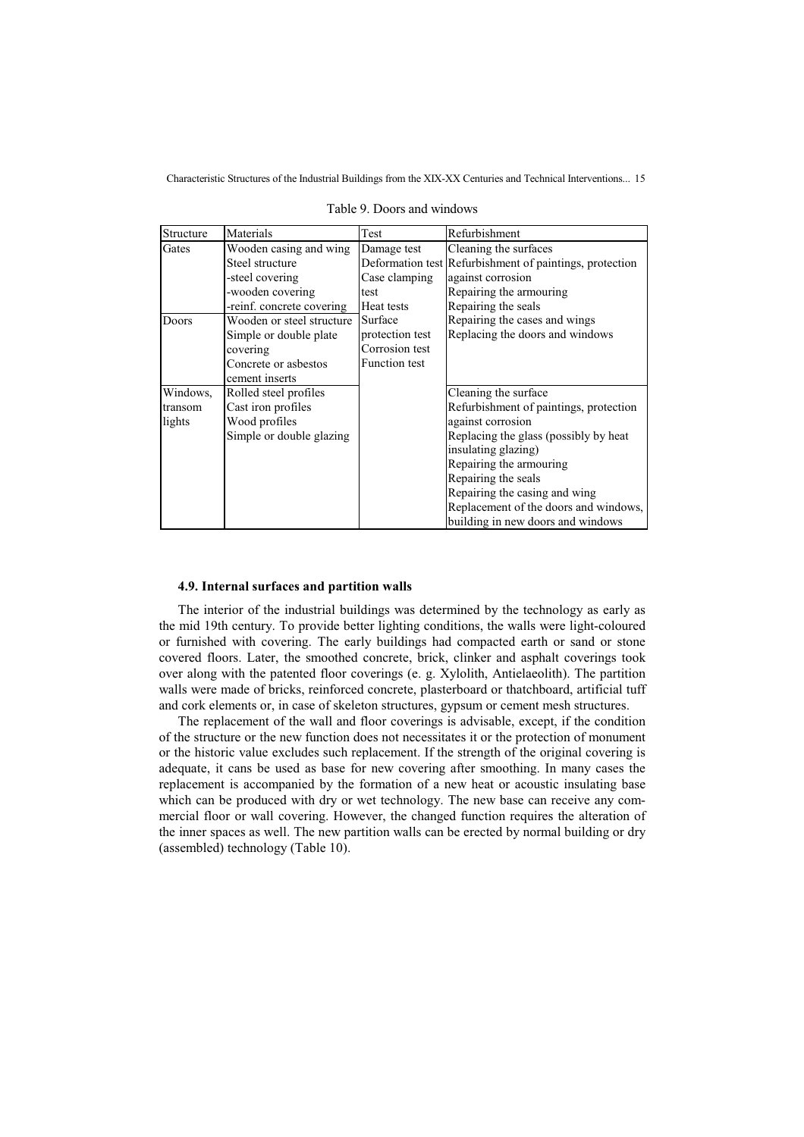| Structure | Materials                 | Test                 | Refurbishment                                           |
|-----------|---------------------------|----------------------|---------------------------------------------------------|
| Gates     | Wooden casing and wing    | Damage test          | Cleaning the surfaces                                   |
|           | Steel structure           |                      | Deformation test Refurbishment of paintings, protection |
|           | -steel covering           | Case clamping        | against corrosion                                       |
|           | -wooden covering          | test                 | Repairing the armouring                                 |
|           | -reinf. concrete covering | Heat tests           | Repairing the seals                                     |
| Doors     | Wooden or steel structure | Surface              | Repairing the cases and wings                           |
|           | Simple or double plate    | protection test      | Replacing the doors and windows                         |
|           | covering                  | Corrosion test       |                                                         |
|           | Concrete or asbestos      | <b>Function test</b> |                                                         |
|           | cement inserts            |                      |                                                         |
| Windows,  | Rolled steel profiles     |                      | Cleaning the surface                                    |
| transom   | Cast iron profiles        |                      | Refurbishment of paintings, protection                  |
| lights    | Wood profiles             |                      | against corrosion                                       |
|           | Simple or double glazing  |                      | Replacing the glass (possibly by heat                   |
|           |                           |                      | insulating glazing)                                     |
|           |                           |                      | Repairing the armouring                                 |
|           |                           |                      | Repairing the seals                                     |
|           |                           |                      | Repairing the casing and wing                           |
|           |                           |                      | Replacement of the doors and windows,                   |
|           |                           |                      | building in new doors and windows                       |

Table 9. Doors and windows

## **4.9. Internal surfaces and partition walls**

The interior of the industrial buildings was determined by the technology as early as the mid 19th century. To provide better lighting conditions, the walls were light-coloured or furnished with covering. The early buildings had compacted earth or sand or stone covered floors. Later, the smoothed concrete, brick, clinker and asphalt coverings took over along with the patented floor coverings (e. g. Xylolith, Antielaeolith). The partition walls were made of bricks, reinforced concrete, plasterboard or thatchboard, artificial tuff and cork elements or, in case of skeleton structures, gypsum or cement mesh structures.

The replacement of the wall and floor coverings is advisable, except, if the condition of the structure or the new function does not necessitates it or the protection of monument or the historic value excludes such replacement. If the strength of the original covering is adequate, it cans be used as base for new covering after smoothing. In many cases the replacement is accompanied by the formation of a new heat or acoustic insulating base which can be produced with dry or wet technology. The new base can receive any commercial floor or wall covering. However, the changed function requires the alteration of the inner spaces as well. The new partition walls can be erected by normal building or dry (assembled) technology (Table 10).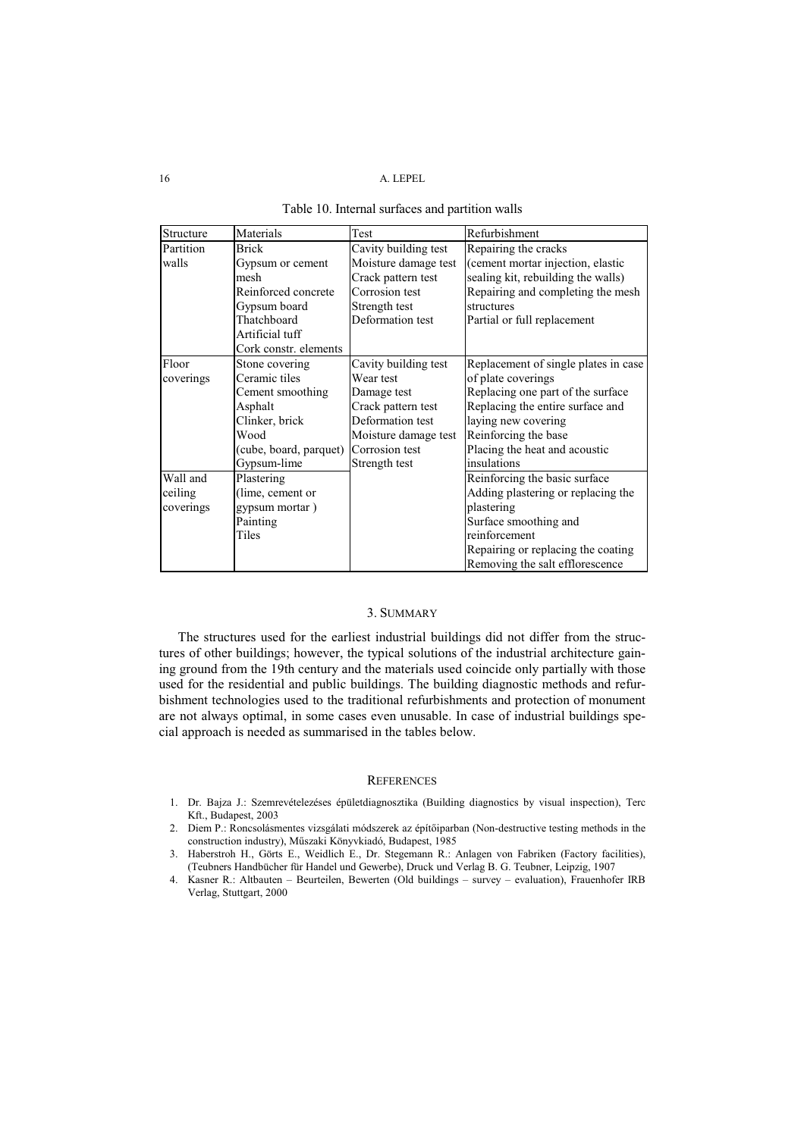| Structure | Materials              | Test                 | Refurbishment                        |
|-----------|------------------------|----------------------|--------------------------------------|
| Partition | <b>Brick</b>           | Cavity building test | Repairing the cracks                 |
| walls     | Gypsum or cement       | Moisture damage test | (cement mortar injection, elastic    |
|           | mesh                   | Crack pattern test   | sealing kit, rebuilding the walls)   |
|           | Reinforced concrete    | Corrosion test       | Repairing and completing the mesh    |
|           | Gypsum board           | Strength test        | structures                           |
|           | Thatchboard            | Deformation test     | Partial or full replacement          |
|           | Artificial tuff        |                      |                                      |
|           | Cork constr. elements  |                      |                                      |
| Floor     | Stone covering         | Cavity building test | Replacement of single plates in case |
| coverings | Ceramic tiles          | Wear test            | of plate coverings                   |
|           | Cement smoothing       | Damage test          | Replacing one part of the surface    |
|           | Asphalt                | Crack pattern test   | Replacing the entire surface and     |
|           | Clinker, brick         | Deformation test     | laying new covering                  |
|           | Wood                   | Moisture damage test | Reinforcing the base                 |
|           | (cube, board, parquet) | Corrosion test       | Placing the heat and acoustic        |
|           | Gypsum-lime            | Strength test        | insulations                          |
| Wall and  | Plastering             |                      | Reinforcing the basic surface        |
| ceiling   | (lime, cement or       |                      | Adding plastering or replacing the   |
| coverings | gypsum mortar)         |                      | plastering                           |
|           | Painting               |                      | Surface smoothing and                |
|           | Tiles                  |                      | reinforcement                        |
|           |                        |                      | Repairing or replacing the coating   |
|           |                        |                      | Removing the salt efflorescence      |

| Table 10. Internal surfaces and partition walls |  |  |  |  |  |
|-------------------------------------------------|--|--|--|--|--|
|-------------------------------------------------|--|--|--|--|--|

## 3. SUMMARY

The structures used for the earliest industrial buildings did not differ from the structures of other buildings; however, the typical solutions of the industrial architecture gaining ground from the 19th century and the materials used coincide only partially with those used for the residential and public buildings. The building diagnostic methods and refurbishment technologies used to the traditional refurbishments and protection of monument are not always optimal, in some cases even unusable. In case of industrial buildings special approach is needed as summarised in the tables below.

#### **REFERENCES**

- 1. Dr. Bajza J.: Szemrevételezéses épületdiagnosztika (Building diagnostics by visual inspection), Terc Kft., Budapest, 2003
- 2. Diem P.: Roncsolásmentes vizsgálati módszerek az építőiparban (Non-destructive testing methods in the construction industry), Műszaki Könyvkiadó, Budapest, 1985
- 3. Haberstroh H., Görts E., Weidlich E., Dr. Stegemann R.: Anlagen von Fabriken (Factory facilities), (Teubners Handbücher für Handel und Gewerbe), Druck und Verlag B. G. Teubner, Leipzig, 1907
- 4. Kasner R.: Altbauten Beurteilen, Bewerten (Old buildings survey evaluation), Frauenhofer IRB Verlag, Stuttgart, 2000